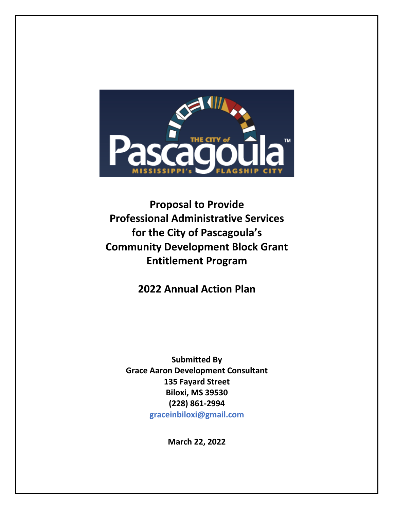

**Proposal to Provide Professional Administrative Services for the City of Pascagoula's Community Development Block Grant Entitlement Program**

**2022 Annual Action Plan**

**Submitted By Grace Aaron Development Consultant 135 Fayard Street Biloxi, MS 39530 (228) 861-2994 graceinbiloxi@gmail.com**

**March 22, 2022**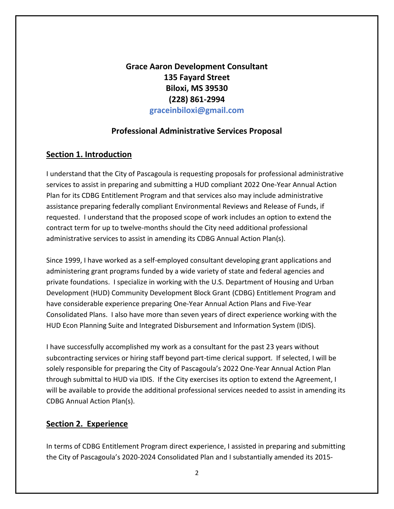**Grace Aaron Development Consultant 135 Fayard Street Biloxi, MS 39530 (228) 861-2994 graceinbiloxi@gmail.com**

## **Professional Administrative Services Proposal**

## **Section 1. Introduction**

I understand that the City of Pascagoula is requesting proposals for professional administrative services to assist in preparing and submitting a HUD compliant 2022 One-Year Annual Action Plan for its CDBG Entitlement Program and that services also may include administrative assistance preparing federally compliant Environmental Reviews and Release of Funds, if requested. I understand that the proposed scope of work includes an option to extend the contract term for up to twelve-months should the City need additional professional administrative services to assist in amending its CDBG Annual Action Plan(s).

Since 1999, I have worked as a self-employed consultant developing grant applications and administering grant programs funded by a wide variety of state and federal agencies and private foundations. I specialize in working with the U.S. Department of Housing and Urban Development (HUD) Community Development Block Grant (CDBG) Entitlement Program and have considerable experience preparing One-Year Annual Action Plans and Five-Year Consolidated Plans. I also have more than seven years of direct experience working with the HUD Econ Planning Suite and Integrated Disbursement and Information System (IDIS).

I have successfully accomplished my work as a consultant for the past 23 years without subcontracting services or hiring staff beyond part-time clerical support. If selected, I will be solely responsible for preparing the City of Pascagoula's 2022 One-Year Annual Action Plan through submittal to HUD via IDIS. If the City exercises its option to extend the Agreement, I will be available to provide the additional professional services needed to assist in amending its CDBG Annual Action Plan(s).

## **Section 2. Experience**

In terms of CDBG Entitlement Program direct experience, I assisted in preparing and submitting the City of Pascagoula's 2020-2024 Consolidated Plan and I substantially amended its 2015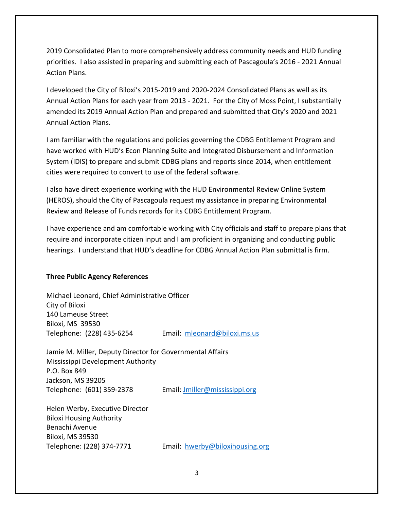2019 Consolidated Plan to more comprehensively address community needs and HUD funding priorities. I also assisted in preparing and submitting each of Pascagoula's 2016 - 2021 Annual Action Plans.

I developed the City of Biloxi's 2015-2019 and 2020-2024 Consolidated Plans as well as its Annual Action Plans for each year from 2013 - 2021. For the City of Moss Point, I substantially amended its 2019 Annual Action Plan and prepared and submitted that City's 2020 and 2021 Annual Action Plans.

I am familiar with the regulations and policies governing the CDBG Entitlement Program and have worked with HUD's Econ Planning Suite and Integrated Disbursement and Information System (IDIS) to prepare and submit CDBG plans and reports since 2014, when entitlement cities were required to convert to use of the federal software.

I also have direct experience working with the HUD Environmental Review Online System (HEROS), should the City of Pascagoula request my assistance in preparing Environmental Review and Release of Funds records for its CDBG Entitlement Program.

I have experience and am comfortable working with City officials and staff to prepare plans that require and incorporate citizen input and I am proficient in organizing and conducting public hearings. I understand that HUD's deadline for CDBG Annual Action Plan submittal is firm.

### **Three Public Agency References**

Michael Leonard, Chief Administrative Officer City of Biloxi 140 Lameuse Street Biloxi, MS 39530 Telephone: (228) 435-6254 Email: [mleonard@biloxi.ms.us](mailto:mleonard@biloxi.ms.us)

Jamie M. Miller, Deputy Director for Governmental Affairs Mississippi Development Authority P.O. Box 849 Jackson, MS 39205 Telephone: (601) 359-2378 Email[: Jmiller@mississippi.org](mailto:Jmiller@mississippi.org)

Helen Werby, Executive Director Biloxi Housing Authority Benachi Avenue Biloxi, MS 39530

Telephone: (228) 374-7771 Email: [hwerby@biloxihousing.org](mailto:hwerby@biloxihousing.org)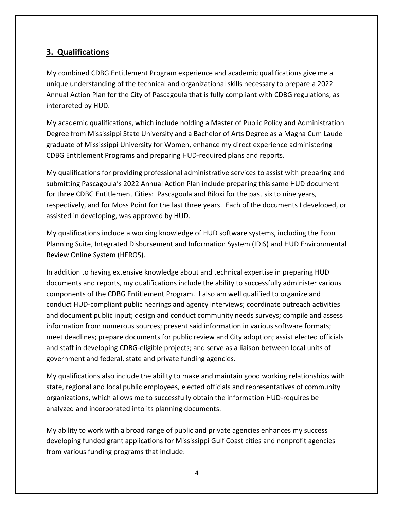# **3. Qualifications**

My combined CDBG Entitlement Program experience and academic qualifications give me a unique understanding of the technical and organizational skills necessary to prepare a 2022 Annual Action Plan for the City of Pascagoula that is fully compliant with CDBG regulations, as interpreted by HUD.

My academic qualifications, which include holding a Master of Public Policy and Administration Degree from Mississippi State University and a Bachelor of Arts Degree as a Magna Cum Laude graduate of Mississippi University for Women, enhance my direct experience administering CDBG Entitlement Programs and preparing HUD-required plans and reports.

My qualifications for providing professional administrative services to assist with preparing and submitting Pascagoula's 2022 Annual Action Plan include preparing this same HUD document for three CDBG Entitlement Cities: Pascagoula and Biloxi for the past six to nine years, respectively, and for Moss Point for the last three years. Each of the documents I developed, or assisted in developing, was approved by HUD.

My qualifications include a working knowledge of HUD software systems, including the Econ Planning Suite, Integrated Disbursement and Information System (IDIS) and HUD Environmental Review Online System (HEROS).

In addition to having extensive knowledge about and technical expertise in preparing HUD documents and reports, my qualifications include the ability to successfully administer various components of the CDBG Entitlement Program. I also am well qualified to organize and conduct HUD-compliant public hearings and agency interviews; coordinate outreach activities and document public input; design and conduct community needs surveys; compile and assess information from numerous sources; present said information in various software formats; meet deadlines; prepare documents for public review and City adoption; assist elected officials and staff in developing CDBG-eligible projects; and serve as a liaison between local units of government and federal, state and private funding agencies.

My qualifications also include the ability to make and maintain good working relationships with state, regional and local public employees, elected officials and representatives of community organizations, which allows me to successfully obtain the information HUD-requires be analyzed and incorporated into its planning documents.

My ability to work with a broad range of public and private agencies enhances my success developing funded grant applications for Mississippi Gulf Coast cities and nonprofit agencies from various funding programs that include: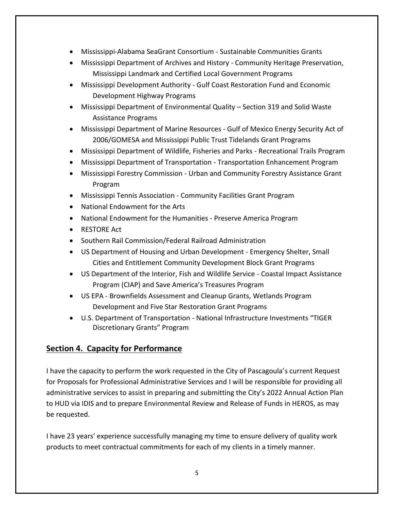- Mississippi-Alabama SeaGrant Consortium Sustainable Communities Grants
- Mississippi Department of Archives and History Community Heritage Preservation, Mississippi Landmark and Certified Local Government Programs
- Mississippi Development Authority Gulf Coast Restoration Fund and Economic Development Highway Programs
- Mississippi Department of Environmental Quality Section 319 and Solid Waste Assistance Programs
- Mississippi Department of Marine Resources Gulf of Mexico Energy Security Act of 2006/GOMESA and Mississippi Public Trust Tidelands Grant Programs
- Mississippi Department of Wildlife, Fisheries and Parks Recreational Trails Program
- Mississippi Department of Transportation Transportation Enhancement Program
- Mississippi Forestry Commission Urban and Community Forestry Assistance Grant Program
- Mississippi Tennis Association Community Facilities Grant Program
- National Endowment for the Arts
- National Endowment for the Humanities Preserve America Program
- RESTORE Act
- Southern Rail Commission/Federal Railroad Administration
- US Department of Housing and Urban Development Emergency Shelter, Small Cities and Entitlement Community Development Block Grant Programs
- US Department of the Interior, Fish and Wildlife Service Coastal Impact Assistance Program (CIAP) and Save America's Treasures Program
- US EPA Brownfields Assessment and Cleanup Grants, Wetlands Program Development and Five Star Restoration Grant Programs
- U.S. Department of Transportation National Infrastructure Investments "TIGER Discretionary Grants" Program

# **Section 4. Capacity for Performance**

I have the capacity to perform the work requested in the City of Pascagoula's current Request for Proposals for Professional Administrative Services and I will be responsible for providing all administrative services to assist in preparing and submitting the City's 2022 Annual Action Plan to HUD via IDIS and to prepare Environmental Review and Release of Funds in HEROS, as may be requested.

I have 23 years' experience successfully managing my time to ensure delivery of quality work products to meet contractual commitments for each of my clients in a timely manner.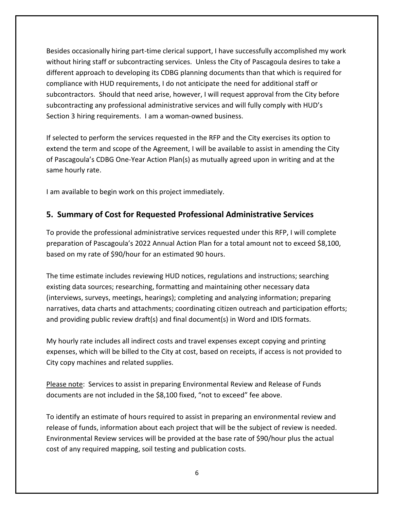Besides occasionally hiring part-time clerical support, I have successfully accomplished my work without hiring staff or subcontracting services. Unless the City of Pascagoula desires to take a different approach to developing its CDBG planning documents than that which is required for compliance with HUD requirements, I do not anticipate the need for additional staff or subcontractors. Should that need arise, however, I will request approval from the City before subcontracting any professional administrative services and will fully comply with HUD's Section 3 hiring requirements. I am a woman-owned business.

If selected to perform the services requested in the RFP and the City exercises its option to extend the term and scope of the Agreement, I will be available to assist in amending the City of Pascagoula's CDBG One-Year Action Plan(s) as mutually agreed upon in writing and at the same hourly rate.

I am available to begin work on this project immediately.

# **5. Summary of Cost for Requested Professional Administrative Services**

To provide the professional administrative services requested under this RFP, I will complete preparation of Pascagoula's 2022 Annual Action Plan for a total amount not to exceed \$8,100, based on my rate of \$90/hour for an estimated 90 hours.

The time estimate includes reviewing HUD notices, regulations and instructions; searching existing data sources; researching, formatting and maintaining other necessary data (interviews, surveys, meetings, hearings); completing and analyzing information; preparing narratives, data charts and attachments; coordinating citizen outreach and participation efforts; and providing public review draft(s) and final document(s) in Word and IDIS formats.

My hourly rate includes all indirect costs and travel expenses except copying and printing expenses, which will be billed to the City at cost, based on receipts, if access is not provided to City copy machines and related supplies.

Please note: Services to assist in preparing Environmental Review and Release of Funds documents are not included in the \$8,100 fixed, "not to exceed" fee above.

To identify an estimate of hours required to assist in preparing an environmental review and release of funds, information about each project that will be the subject of review is needed. Environmental Review services will be provided at the base rate of \$90/hour plus the actual cost of any required mapping, soil testing and publication costs.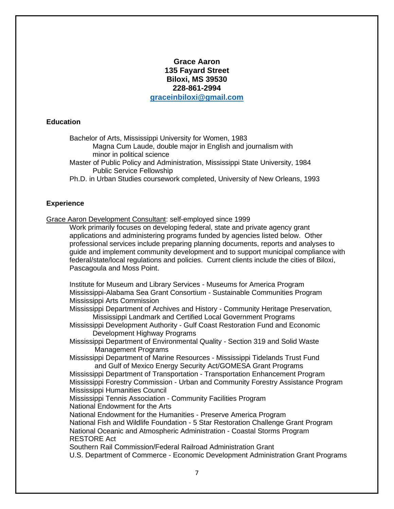## **Grace Aaron 135 Fayard Street Biloxi, MS 39530 228-861-2994 [graceinbiloxi@gmail.com](mailto:graceinbiloxi@gmail.com)**

#### **Education**

Bachelor of Arts, Mississippi University for Women, 1983

Magna Cum Laude, double major in English and journalism with minor in political science

Master of Public Policy and Administration, Mississippi State University, 1984 Public Service Fellowship

Ph.D. in Urban Studies coursework completed, University of New Orleans, 1993

## **Experience**

Grace Aaron Development Consultant: self-employed since 1999

Work primarily focuses on developing federal, state and private agency grant applications and administering programs funded by agencies listed below. Other professional services include preparing planning documents, reports and analyses to guide and implement community development and to support municipal compliance with federal/state/local regulations and policies. Current clients include the cities of Biloxi, Pascagoula and Moss Point.

Institute for Museum and Library Services - Museums for America Program Mississippi-Alabama Sea Grant Consortium - Sustainable Communities Program Mississippi Arts Commission

Mississippi Department of Archives and History - Community Heritage Preservation, Mississippi Landmark and Certified Local Government Programs

Mississippi Development Authority - Gulf Coast Restoration Fund and Economic Development Highway Programs

Mississippi Department of Environmental Quality - Section 319 and Solid Waste Management Programs

Mississippi Department of Marine Resources - Mississippi Tidelands Trust Fund and Gulf of Mexico Energy Security Act/GOMESA Grant Programs

Mississippi Department of Transportation - Transportation Enhancement Program Mississippi Forestry Commission - Urban and Community Forestry Assistance Program Mississippi Humanities Council

Mississippi Tennis Association - Community Facilities Program National Endowment for the Arts

National Endowment for the Humanities - Preserve America Program

National Fish and Wildlife Foundation - 5 Star Restoration Challenge Grant Program National Oceanic and Atmospheric Administration - Coastal Storms Program RESTORE Act

Southern Rail Commission/Federal Railroad Administration Grant

U.S. Department of Commerce - Economic Development Administration Grant Programs